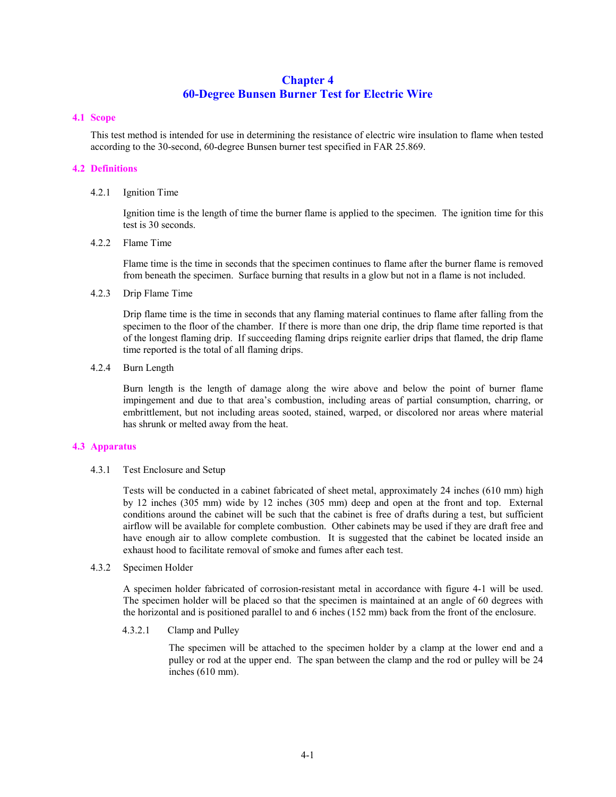# **Chapter 4 60-Degree Bunsen Burner Test for Electric Wire**

## **4.1 Scope**

This test method is intended for use in determining the resistance of electric wire insulation to flame when tested according to the 30-second, 60-degree Bunsen burner test specified in FAR 25.869.

## **4.2 Definitions**

#### 4.2.1 Ignition Time

Ignition time is the length of time the burner flame is applied to the specimen. The ignition time for this test is 30 seconds.

4.2.2 Flame Time

Flame time is the time in seconds that the specimen continues to flame after the burner flame is removed from beneath the specimen. Surface burning that results in a glow but not in a flame is not included.

4.2.3 Drip Flame Time

Drip flame time is the time in seconds that any flaming material continues to flame after falling from the specimen to the floor of the chamber. If there is more than one drip, the drip flame time reported is that of the longest flaming drip. If succeeding flaming drips reignite earlier drips that flamed, the drip flame time reported is the total of all flaming drips.

4.2.4 Burn Length

Burn length is the length of damage along the wire above and below the point of burner flame impingement and due to that area's combustion, including areas of partial consumption, charring, or embrittlement, but not including areas sooted, stained, warped, or discolored nor areas where material has shrunk or melted away from the heat.

#### **4.3 Apparatus**

4.3.1 Test Enclosure and Setup

Tests will be conducted in a cabinet fabricated of sheet metal, approximately 24 inches (610 mm) high by 12 inches (305 mm) wide by 12 inches (305 mm) deep and open at the front and top. External conditions around the cabinet will be such that the cabinet is free of drafts during a test, but sufficient airflow will be available for complete combustion. Other cabinets may be used if they are draft free and have enough air to allow complete combustion. It is suggested that the cabinet be located inside an exhaust hood to facilitate removal of smoke and fumes after each test.

4.3.2 Specimen Holder

A specimen holder fabricated of corrosion-resistant metal in accordance with figure 4-1 will be used. The specimen holder will be placed so that the specimen is maintained at an angle of 60 degrees with the horizontal and is positioned parallel to and 6 inches (152 mm) back from the front of the enclosure.

4.3.2.1 Clamp and Pulley

The specimen will be attached to the specimen holder by a clamp at the lower end and a pulley or rod at the upper end. The span between the clamp and the rod or pulley will be 24 inches (610 mm).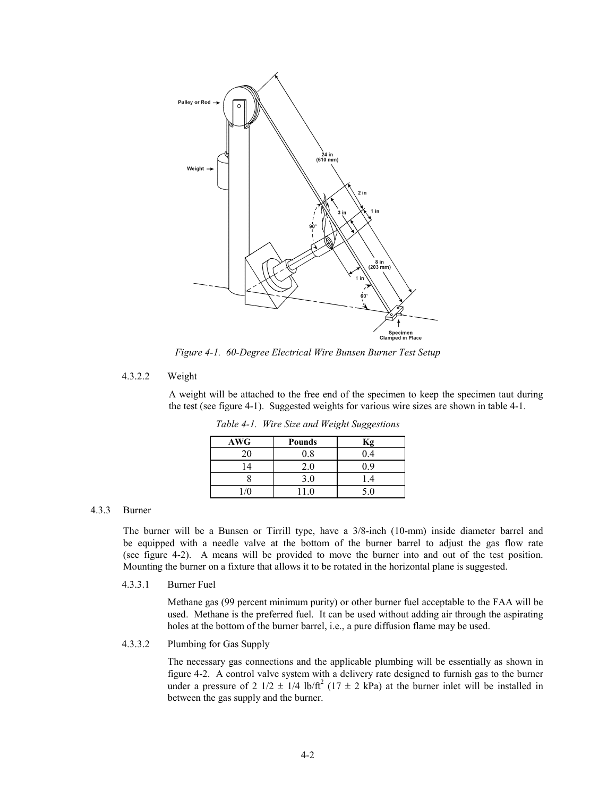

*Figure 4-1. 60-Degree Electrical Wire Bunsen Burner Test Setup*

## 4.3.2.2 Weight

A weight will be attached to the free end of the specimen to keep the specimen taut during the test (see figure 4-1). Suggested weights for various wire sizes are shown in table 4-1.

| <b>AWG</b> | <b>Pounds</b> | Kσ  |
|------------|---------------|-----|
| 20         | $_{0.8}$      | 0.4 |
|            | ζU            | 9 ( |
|            | 3.0           |     |
|            | 1.0           | 5.0 |

*Table 4-1. Wire Size and Weight Suggestions*

#### 4.3.3 Burner

The burner will be a Bunsen or Tirrill type, have a 3/8-inch (10-mm) inside diameter barrel and be equipped with a needle valve at the bottom of the burner barrel to adjust the gas flow rate (see figure 4-2). A means will be provided to move the burner into and out of the test position. Mounting the burner on a fixture that allows it to be rotated in the horizontal plane is suggested.

4.3.3.1 Burner Fuel

Methane gas (99 percent minimum purity) or other burner fuel acceptable to the FAA will be used. Methane is the preferred fuel. It can be used without adding air through the aspirating holes at the bottom of the burner barrel, i.e., a pure diffusion flame may be used.

4.3.3.2 Plumbing for Gas Supply

The necessary gas connections and the applicable plumbing will be essentially as shown in figure 4-2. A control valve system with a delivery rate designed to furnish gas to the burner under a pressure of 2  $1/2 \pm 1/4$  lb/ft<sup>2</sup> (17  $\pm$  2 kPa) at the burner inlet will be installed in between the gas supply and the burner.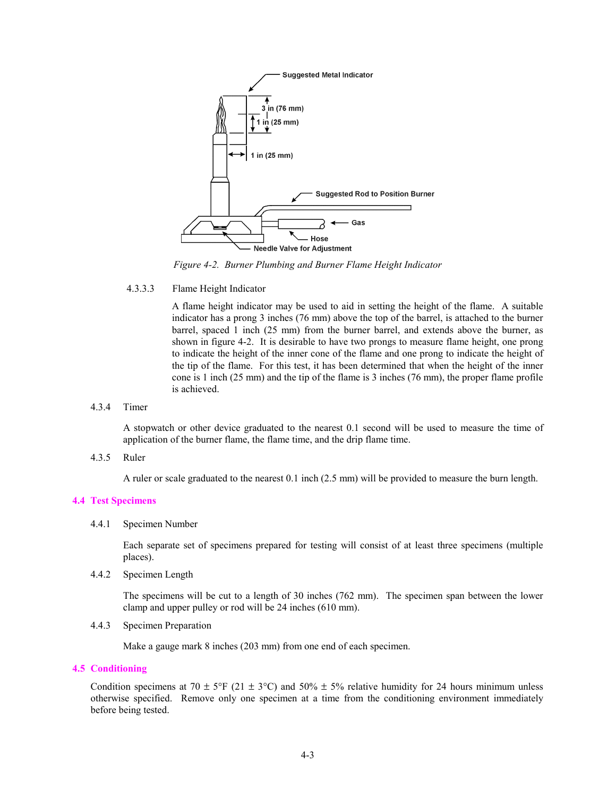

*Figure 4-2. Burner Plumbing and Burner Flame Height Indicator*

4.3.3.3 Flame Height Indicator

A flame height indicator may be used to aid in setting the height of the flame. A suitable indicator has a prong 3 inches (76 mm) above the top of the barrel, is attached to the burner barrel, spaced 1 inch (25 mm) from the burner barrel, and extends above the burner, as shown in figure 4-2. It is desirable to have two prongs to measure flame height, one prong to indicate the height of the inner cone of the flame and one prong to indicate the height of the tip of the flame. For this test, it has been determined that when the height of the inner cone is 1 inch (25 mm) and the tip of the flame is 3 inches (76 mm), the proper flame profile is achieved.

4.3.4 Timer

A stopwatch or other device graduated to the nearest 0.1 second will be used to measure the time of application of the burner flame, the flame time, and the drip flame time.

4.3.5 Ruler

A ruler or scale graduated to the nearest 0.1 inch (2.5 mm) will be provided to measure the burn length.

## **4.4 Test Specimens**

4.4.1 Specimen Number

Each separate set of specimens prepared for testing will consist of at least three specimens (multiple places).

4.4.2 Specimen Length

The specimens will be cut to a length of 30 inches (762 mm). The specimen span between the lower clamp and upper pulley or rod will be 24 inches (610 mm).

4.4.3 Specimen Preparation

Make a gauge mark 8 inches (203 mm) from one end of each specimen.

#### **4.5 Conditioning**

Condition specimens at 70  $\pm$  5°F (21  $\pm$  3°C) and 50%  $\pm$  5% relative humidity for 24 hours minimum unless otherwise specified. Remove only one specimen at a time from the conditioning environment immediately before being tested.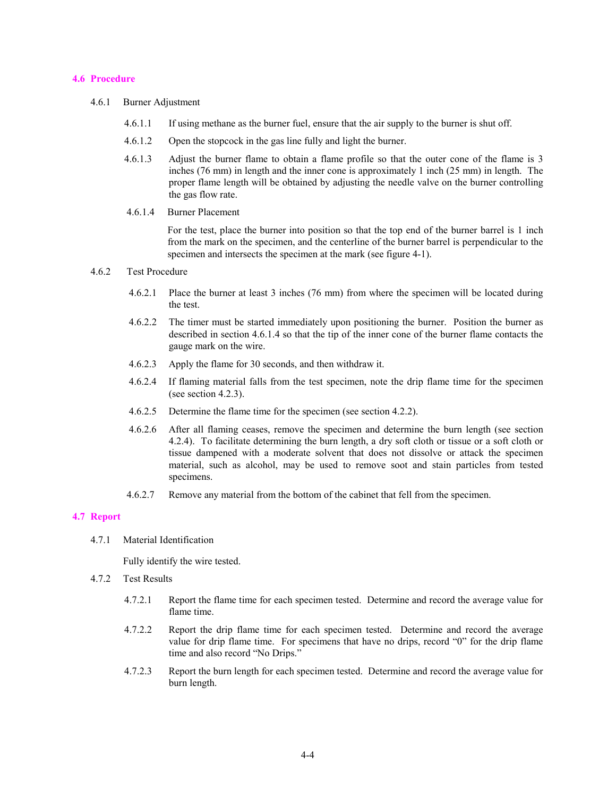#### **4.6 Procedure**

- 4.6.1 Burner Adjustment
	- 4.6.1.1 If using methane as the burner fuel, ensure that the air supply to the burner is shut off.
	- 4.6.1.2 Open the stopcock in the gas line fully and light the burner.
	- 4.6.1.3 Adjust the burner flame to obtain a flame profile so that the outer cone of the flame is 3 inches (76 mm) in length and the inner cone is approximately 1 inch (25 mm) in length. The proper flame length will be obtained by adjusting the needle valve on the burner controlling the gas flow rate.
	- 4.6.1.4 Burner Placement

For the test, place the burner into position so that the top end of the burner barrel is 1 inch from the mark on the specimen, and the centerline of the burner barrel is perpendicular to the specimen and intersects the specimen at the mark (see figure 4-1).

## 4.6.2 Test Procedure

- 4.6.2.1 Place the burner at least 3 inches (76 mm) from where the specimen will be located during the test.
- 4.6.2.2 The timer must be started immediately upon positioning the burner. Position the burner as described in section 4.6.1.4 so that the tip of the inner cone of the burner flame contacts the gauge mark on the wire.
- 4.6.2.3 Apply the flame for 30 seconds, and then withdraw it.
- 4.6.2.4 If flaming material falls from the test specimen, note the drip flame time for the specimen (see section 4.2.3).
- 4.6.2.5 Determine the flame time for the specimen (see section 4.2.2).
- 4.6.2.6 After all flaming ceases, remove the specimen and determine the burn length (see section 4.2.4). To facilitate determining the burn length, a dry soft cloth or tissue or a soft cloth or tissue dampened with a moderate solvent that does not dissolve or attack the specimen material, such as alcohol, may be used to remove soot and stain particles from tested specimens.
- 4.6.2.7 Remove any material from the bottom of the cabinet that fell from the specimen.

#### **4.7 Report**

4.7.1 Material Identification

Fully identify the wire tested.

- 4.7.2 Test Results
	- 4.7.2.1 Report the flame time for each specimen tested. Determine and record the average value for flame time.
	- 4.7.2.2 Report the drip flame time for each specimen tested. Determine and record the average value for drip flame time. For specimens that have no drips, record "0" for the drip flame time and also record "No Drips."
	- 4.7.2.3 Report the burn length for each specimen tested. Determine and record the average value for burn length.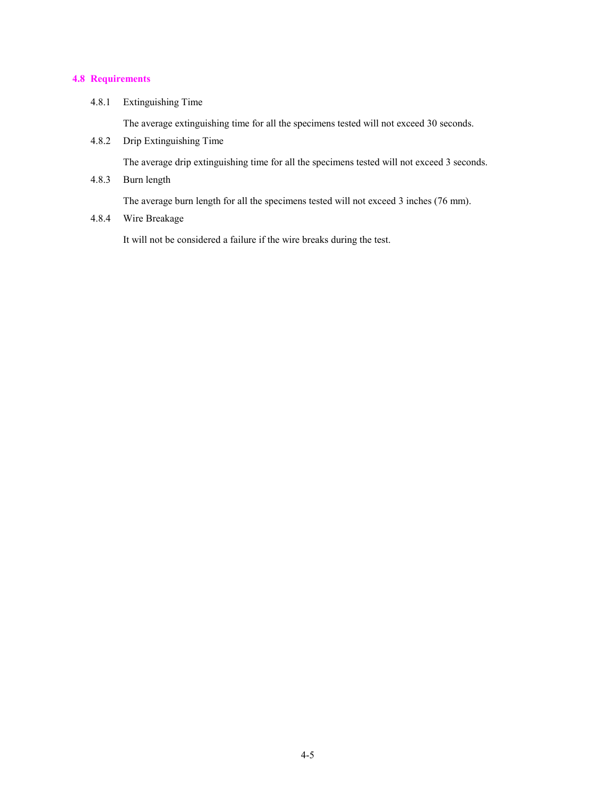## **4.8 Requirements**

4.8.1 Extinguishing Time

The average extinguishing time for all the specimens tested will not exceed 30 seconds.

4.8.2 Drip Extinguishing Time

The average drip extinguishing time for all the specimens tested will not exceed 3 seconds.

4.8.3 Burn length

The average burn length for all the specimens tested will not exceed 3 inches (76 mm).

4.8.4 Wire Breakage

It will not be considered a failure if the wire breaks during the test.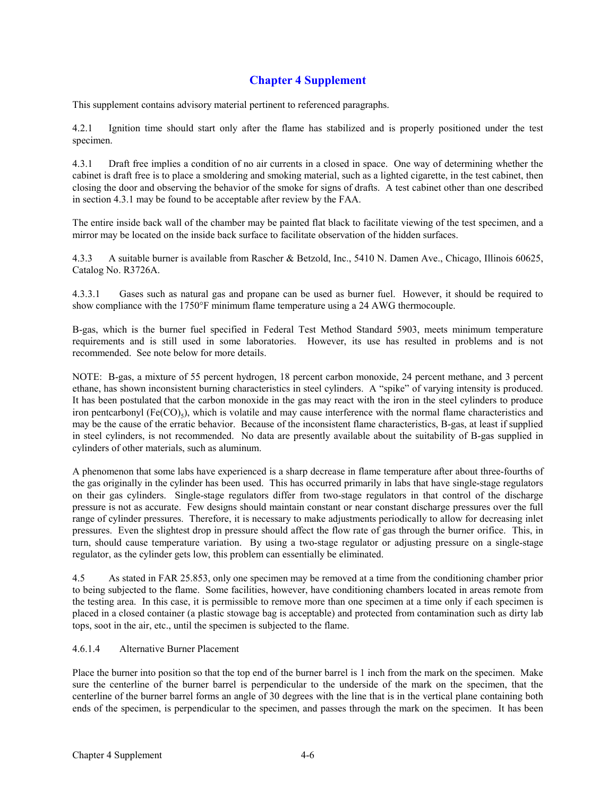# **Chapter 4 Supplement**

This supplement contains advisory material pertinent to referenced paragraphs.

4.2.1 Ignition time should start only after the flame has stabilized and is properly positioned under the test specimen.

4.3.1 Draft free implies a condition of no air currents in a closed in space. One way of determining whether the cabinet is draft free is to place a smoldering and smoking material, such as a lighted cigarette, in the test cabinet, then closing the door and observing the behavior of the smoke for signs of drafts. A test cabinet other than one described in section 4.3.1 may be found to be acceptable after review by the FAA.

The entire inside back wall of the chamber may be painted flat black to facilitate viewing of the test specimen, and a mirror may be located on the inside back surface to facilitate observation of the hidden surfaces.

4.3.3 A suitable burner is available from Rascher & Betzold, Inc., 5410 N. Damen Ave., Chicago, Illinois 60625, Catalog No. R3726A.

4.3.3.1 Gases such as natural gas and propane can be used as burner fuel. However, it should be required to show compliance with the 1750°F minimum flame temperature using a 24 AWG thermocouple.

B-gas, which is the burner fuel specified in Federal Test Method Standard 5903, meets minimum temperature requirements and is still used in some laboratories. However, its use has resulted in problems and is not recommended. See note below for more details.

NOTE: B-gas, a mixture of 55 percent hydrogen, 18 percent carbon monoxide, 24 percent methane, and 3 percent ethane, has shown inconsistent burning characteristics in steel cylinders. A "spike" of varying intensity is produced. It has been postulated that the carbon monoxide in the gas may react with the iron in the steel cylinders to produce iron pentcarbonyl  $(Fe(CO))$ , which is volatile and may cause interference with the normal flame characteristics and may be the cause of the erratic behavior. Because of the inconsistent flame characteristics, B-gas, at least if supplied in steel cylinders, is not recommended. No data are presently available about the suitability of B-gas supplied in cylinders of other materials, such as aluminum.

A phenomenon that some labs have experienced is a sharp decrease in flame temperature after about three-fourths of the gas originally in the cylinder has been used. This has occurred primarily in labs that have single-stage regulators on their gas cylinders. Single-stage regulators differ from two-stage regulators in that control of the discharge pressure is not as accurate. Few designs should maintain constant or near constant discharge pressures over the full range of cylinder pressures. Therefore, it is necessary to make adjustments periodically to allow for decreasing inlet pressures. Even the slightest drop in pressure should affect the flow rate of gas through the burner orifice. This, in turn, should cause temperature variation. By using a two-stage regulator or adjusting pressure on a single-stage regulator, as the cylinder gets low, this problem can essentially be eliminated.

4.5 As stated in FAR 25.853, only one specimen may be removed at a time from the conditioning chamber prior to being subjected to the flame. Some facilities, however, have conditioning chambers located in areas remote from the testing area. In this case, it is permissible to remove more than one specimen at a time only if each specimen is placed in a closed container (a plastic stowage bag is acceptable) and protected from contamination such as dirty lab tops, soot in the air, etc., until the specimen is subjected to the flame.

## 4.6.1.4 Alternative Burner Placement

Place the burner into position so that the top end of the burner barrel is 1 inch from the mark on the specimen. Make sure the centerline of the burner barrel is perpendicular to the underside of the mark on the specimen, that the centerline of the burner barrel forms an angle of 30 degrees with the line that is in the vertical plane containing both ends of the specimen, is perpendicular to the specimen, and passes through the mark on the specimen. It has been